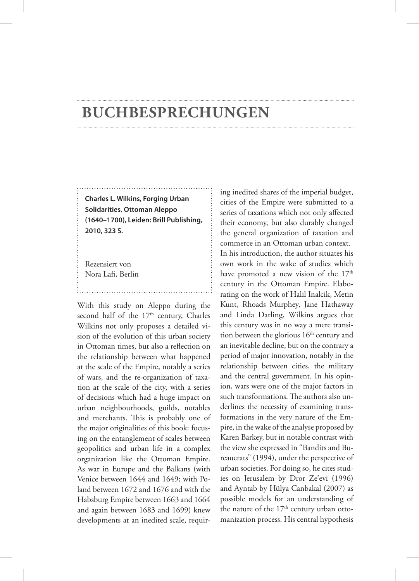## **Buchbesprechungen**

**Charles L. Wilkins, Forging Urban Solidarities. Ottoman Aleppo (1640–1700), Leiden: Brill Publishing, 2010, 323 S.**

Rezensiert von Nora Lafi, Berlin

With this study on Aleppo during the second half of the  $17<sup>th</sup>$  century, Charles Wilkins not only proposes a detailed vision of the evolution of this urban society in Ottoman times, but also a reflection on the relationship between what happened at the scale of the Empire, notably a series of wars, and the re-organization of taxation at the scale of the city, with a series of decisions which had a huge impact on urban neighbourhoods, guilds, notables and merchants. This is probably one of the major originalities of this book: focusing on the entanglement of scales between geopolitics and urban life in a complex organization like the Ottoman Empire. As war in Europe and the Balkans (with Venice between 1644 and 1649; with Poland between 1672 and 1676 and with the Habsburg Empire between 1663 and 1664 and again between 1683 and 1699) knew developments at an inedited scale, requir-

ing inedited shares of the imperial budget, cities of the Empire were submitted to a series of taxations which not only affected their economy, but also durably changed the general organization of taxation and commerce in an Ottoman urban context. In his introduction, the author situates his own work in the wake of studies which have promoted a new vision of the 17<sup>th</sup> century in the Ottoman Empire. Elaborating on the work of Halil Inalcik, Metin Kunt, Rhoads Murphey, Jane Hathaway and Linda Darling, Wilkins argues that this century was in no way a mere transition between the glorious  $16<sup>th</sup>$  century and an inevitable decline, but on the contrary a period of major innovation, notably in the relationship between cities, the military and the central government. In his opinion, wars were one of the major factors in such transformations. The authors also underlines the necessity of examining transformations in the very nature of the Empire, in the wake of the analyse proposed by Karen Barkey, but in notable contrast with the view she expressed in "Bandits and Bureaucrats" (1994), under the perspective of urban societies. For doing so, he cites studies on Jerusalem by Dror Ze'evi (1996) and Ayntab by Hülya Canbakal (2007) as possible models for an understanding of the nature of the 17<sup>th</sup> century urban ottomanization process. His central hypothesis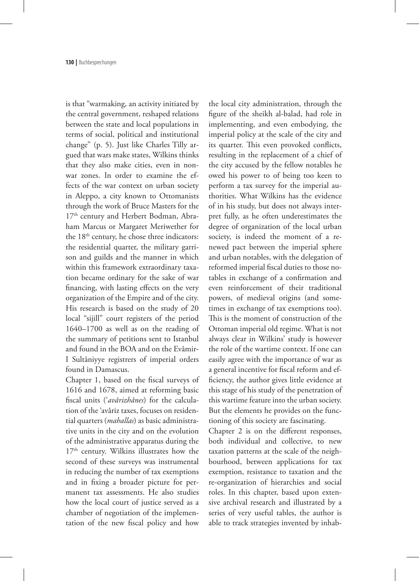is that "warmaking, an activity initiated by the central government, reshaped relations between the state and local populations in terms of social, political and institutional change" (p. 5). Just like Charles Tilly argued that wars make states, Wilkins thinks that they also make cities, even in nonwar zones. In order to examine the effects of the war context on urban society in Aleppo, a city known to Ottomanists through the work of Bruce Masters for the 17<sup>th</sup> century and Herbert Bodman, Abraham Marcus or Margaret Meriwether for the 18<sup>th</sup> century, he chose three indicators: the residential quarter, the military garrison and guilds and the manner in which within this framework extraordinary taxation became ordinary for the sake of war financing, with lasting effects on the very organization of the Empire and of the city. His research is based on the study of 20 local "sijill" court registers of the period 1640–1700 as well as on the reading of the summary of petitions sent to Istanbul and found in the BOA and on the Evâmir-I Sultâniyye registrers of imperial orders found in Damascus.

Chapter 1, based on the fiscal surveys of 1616 and 1678, aimed at reforming basic fiscal units ('*avârizhânes*) for the calculation of the 'avâriz taxes, focuses on residential quarters (*mahallas*) as basic administrative units in the city and on the evolution of the administrative apparatus during the 17<sup>th</sup> century. Wilkins illustrates how the second of these surveys was instrumental in reducing the number of tax exemptions and in fixing a broader picture for permanent tax assessments. He also studies how the local court of justice served as a chamber of negotiation of the implementation of the new fiscal policy and how

the local city administration, through the figure of the sheikh al-balad, had role in implementing, and even embodying, the imperial policy at the scale of the city and its quarter. This even provoked conflicts, resulting in the replacement of a chief of the city accused by the fellow notables he owed his power to of being too keen to perform a tax survey for the imperial authorities. What Wilkins has the evidence of in his study, but does not always interpret fully, as he often underestimates the degree of organization of the local urban society, is indeed the moment of a renewed pact between the imperial sphere and urban notables, with the delegation of reformed imperial fiscal duties to those notables in exchange of a confirmation and even reinforcement of their traditional powers, of medieval origins (and sometimes in exchange of tax exemptions too). This is the moment of construction of the Ottoman imperial old regime. What is not always clear in Wilkins' study is however the role of the wartime context. If one can easily agree with the importance of war as a general incentive for fiscal reform and efficiency, the author gives little evidence at this stage of his study of the penetration of this wartime feature into the urban society. But the elements he provides on the functioning of this society are fascinating.

Chapter 2 is on the different responses, both individual and collective, to new taxation patterns at the scale of the neighbourhood, between applications for tax exemption, resistance to taxation and the re-organization of hierarchies and social roles. In this chapter, based upon extensive archival research and illustrated by a series of very useful tables, the author is able to track strategies invented by inhab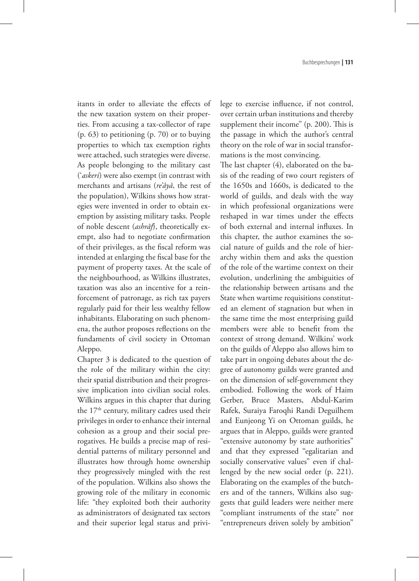itants in order to alleviate the effects of the new taxation system on their properties. From accusing a tax-collector of rape (p. 63) to petitioning (p. 70) or to buying properties to which tax exemption rights were attached, such strategies were diverse. As people belonging to the military cast ('*askeri*) were also exempt (in contrast with merchants and artisans (*re'âyâ*, the rest of the population), Wilkins shows how strategies were invented in order to obtain exemption by assisting military tasks. People of noble descent (*ashrâf*), theoretically exempt, also had to negotiate confirmation of their privileges, as the fiscal reform was intended at enlarging the fiscal base for the payment of property taxes. At the scale of the neighbourhood, as Wilkins illustrates, taxation was also an incentive for a reinforcement of patronage, as rich tax payers regularly paid for their less wealthy fellow inhabitants. Elaborating on such phenomena, the author proposes reflections on the fundaments of civil society in Ottoman Aleppo.

Chapter 3 is dedicated to the question of the role of the military within the city: their spatial distribution and their progressive implication into civilian social roles. Wilkins argues in this chapter that during the 17<sup>th</sup> century, military cadres used their privileges in order to enhance their internal cohesion as a group and their social prerogatives. He builds a precise map of residential patterns of military personnel and illustrates how through home ownership they progressively mingled with the rest of the population. Wilkins also shows the growing role of the military in economic life: "they exploited both their authority as administrators of designated tax sectors and their superior legal status and privilege to exercise influence, if not control, over certain urban institutions and thereby supplement their income" (p. 200). This is the passage in which the author's central theory on the role of war in social transformations is the most convincing.

The last chapter (4), elaborated on the basis of the reading of two court registers of the 1650s and 1660s, is dedicated to the world of guilds, and deals with the way in which professional organizations were reshaped in war times under the effects of both external and internal influxes. In this chapter, the author examines the social nature of guilds and the role of hierarchy within them and asks the question of the role of the wartime context on their evolution, underlining the ambiguities of the relationship between artisans and the State when wartime requisitions constituted an element of stagnation but when in the same time the most enterprising guild members were able to benefit from the context of strong demand. Wilkins' work on the guilds of Aleppo also allows him to take part in ongoing debates about the degree of autonomy guilds were granted and on the dimension of self-government they embodied. Following the work of Haim Gerber, Bruce Masters, Abdul-Karim Rafek, Suraiya Faroqhi Randi Deguilhem and Eunjeong Yi on Ottoman guilds, he argues that in Aleppo, guilds were granted "extensive autonomy by state authorities" and that they expressed "egalitarian and socially conservative values" even if challenged by the new social order (p. 221). Elaborating on the examples of the butchers and of the tanners, Wilkins also suggests that guild leaders were neither mere "compliant instruments of the state" nor "entrepreneurs driven solely by ambition"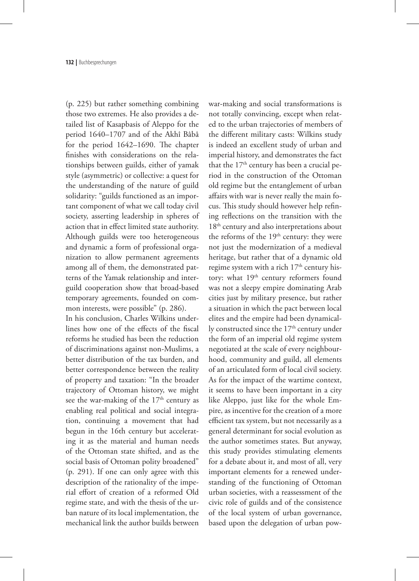(p. 225) but rather something combining those two extremes. He also provides a detailed list of Kasapbasis of Aleppo for the period 1640–1707 and of the Akhî Bâbâ for the period 1642–1690. The chapter finishes with considerations on the relationships between guilds, either of yamak style (asymmetric) or collective: a quest for the understanding of the nature of guild solidarity: "guilds functioned as an important component of what we call today civil society, asserting leadership in spheres of action that in effect limited state authority. Although guilds were too heterogeneous and dynamic a form of professional organization to allow permanent agreements among all of them, the demonstrated patterns of the Yamak relationship and interguild cooperation show that broad-based temporary agreements, founded on common interests, were possible" (p. 286).

In his conclusion, Charles Wilkins underlines how one of the effects of the fiscal reforms he studied has been the reduction of discriminations against non-Muslims, a better distribution of the tax burden, and better correspondence between the reality of property and taxation: "In the broader trajectory of Ottoman history, we might see the war-making of the  $17<sup>th</sup>$  century as enabling real political and social integration, continuing a movement that had begun in the 16th century but accelerating it as the material and human needs of the Ottoman state shifted, and as the social basis of Ottoman polity broadened" (p. 291). If one can only agree with this description of the rationality of the imperial effort of creation of a reformed Old regime state, and with the thesis of the urban nature of its local implementation, the mechanical link the author builds between

war-making and social transformations is not totally convincing, except when related to the urban trajectories of members of the different military casts: Wilkins study is indeed an excellent study of urban and imperial history, and demonstrates the fact that the  $17<sup>th</sup>$  century has been a crucial period in the construction of the Ottoman old regime but the entanglement of urban affairs with war is never really the main focus. This study should however help refining reflections on the transition with the 18<sup>th</sup> century and also interpretations about the reforms of the  $19<sup>th</sup>$  century: they were not just the modernization of a medieval heritage, but rather that of a dynamic old regime system with a rich 17<sup>th</sup> century history: what 19<sup>th</sup> century reformers found was not a sleepy empire dominating Arab cities just by military presence, but rather a situation in which the pact between local elites and the empire had been dynamically constructed since the 17<sup>th</sup> century under the form of an imperial old regime system negotiated at the scale of every neighbourhood, community and guild, all elements of an articulated form of local civil society. As for the impact of the wartime context, it seems to have been important in a city like Aleppo, just like for the whole Empire, as incentive for the creation of a more efficient tax system, but not necessarily as a general determinant for social evolution as the author sometimes states. But anyway, this study provides stimulating elements for a debate about it, and most of all, very important elements for a renewed understanding of the functioning of Ottoman urban societies, with a reassessment of the civic role of guilds and of the consistence of the local system of urban governance, based upon the delegation of urban pow